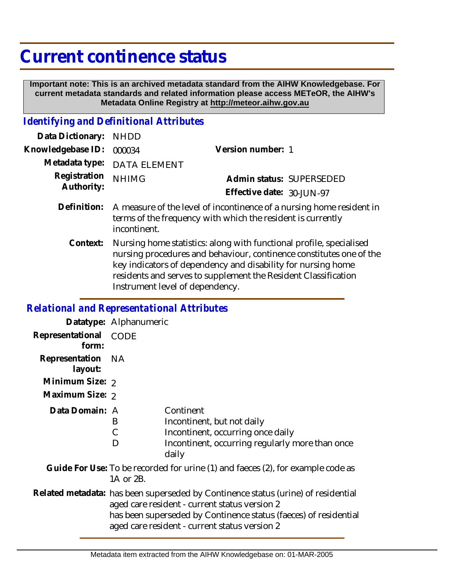## **Current continence status**

 **Important note: This is an archived metadata standard from the AIHW Knowledgebase. For current metadata standards and related information please access METeOR, the AIHW's Metadata Online Registry at http://meteor.aihw.gov.au**

## *Identifying and Definitional Attributes*

| Data Dictionary: NHDD            |                                                                                                                                                                                                                                               |                           |                          |
|----------------------------------|-----------------------------------------------------------------------------------------------------------------------------------------------------------------------------------------------------------------------------------------------|---------------------------|--------------------------|
| Knowledgebase ID: 000034         |                                                                                                                                                                                                                                               | Version number: 1         |                          |
|                                  | Metadata type: DATA ELEMENT                                                                                                                                                                                                                   |                           |                          |
| Registration NHIMG<br>Authority: |                                                                                                                                                                                                                                               |                           | Admin status: SUPERSEDED |
|                                  |                                                                                                                                                                                                                                               | Effective date: 30-JUN-97 |                          |
|                                  | $\blacksquare$ . $\blacksquare$ . The second contract of the second second contract of the second second second second second second second second second second second second second second second second second second second second second |                           |                          |

- Definition: A measure of the level of incontinence of a nursing home resident in terms of the frequency with which the resident is currently incontinent.
	- Nursing home statistics: along with functional profile, specialised nursing procedures and behaviour, continence constitutes one of the key indicators of dependency and disability for nursing home residents and serves to supplement the Resident Classification Instrument level of dependency. **Context:**

## *Relational and Representational Attributes*

|                                                                                              | Datatype: Alphanumeric                                                                                                                                                                                                                                  |                                                                                                                                          |
|----------------------------------------------------------------------------------------------|---------------------------------------------------------------------------------------------------------------------------------------------------------------------------------------------------------------------------------------------------------|------------------------------------------------------------------------------------------------------------------------------------------|
| Representational<br>form:                                                                    | <b>CODE</b>                                                                                                                                                                                                                                             |                                                                                                                                          |
| Representation NA<br>layout:                                                                 |                                                                                                                                                                                                                                                         |                                                                                                                                          |
| Minimum Size: 2                                                                              |                                                                                                                                                                                                                                                         |                                                                                                                                          |
| Maximum Size: 2                                                                              |                                                                                                                                                                                                                                                         |                                                                                                                                          |
| Data Domain: A                                                                               | B<br>С<br>D                                                                                                                                                                                                                                             | Continent<br>Incontinent, but not daily<br>Incontinent, occurring once daily<br>Incontinent, occurring regularly more than once<br>daily |
| Guide For Use: To be recorded for urine (1) and faeces (2), for example code as<br>1A or 2B. |                                                                                                                                                                                                                                                         |                                                                                                                                          |
|                                                                                              | Related metadata: has been superseded by Continence status (urine) of residential<br>aged care resident - current status version 2<br>has been superseded by Continence status (faeces) of residential<br>aged care resident - current status version 2 |                                                                                                                                          |